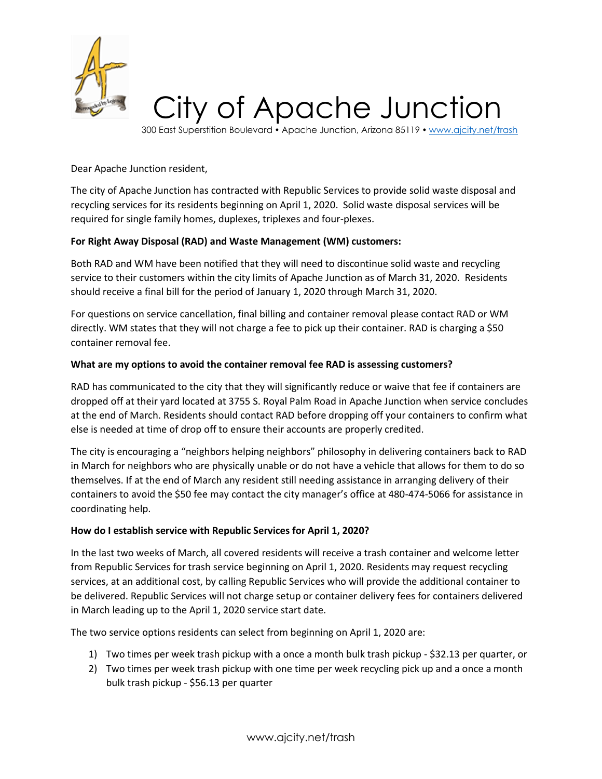

300 East Superstition Boulevard • Apache Junction, Arizona 85119 • [www.ajcity.net/trash](http://www.ajcity.net/trash)

Dear Apache Junction resident,

The city of Apache Junction has contracted with Republic Services to provide solid waste disposal and recycling services for its residents beginning on April 1, 2020. Solid waste disposal services will be required for single family homes, duplexes, triplexes and four-plexes.

# **For Right Away Disposal (RAD) and Waste Management (WM) customers:**

Both RAD and WM have been notified that they will need to discontinue solid waste and recycling service to their customers within the city limits of Apache Junction as of March 31, 2020. Residents should receive a final bill for the period of January 1, 2020 through March 31, 2020.

For questions on service cancellation, final billing and container removal please contact RAD or WM directly. WM states that they will not charge a fee to pick up their container. RAD is charging a \$50 container removal fee.

### **What are my options to avoid the container removal fee RAD is assessing customers?**

RAD has communicated to the city that they will significantly reduce or waive that fee if containers are dropped off at their yard located at 3755 S. Royal Palm Road in Apache Junction when service concludes at the end of March. Residents should contact RAD before dropping off your containers to confirm what else is needed at time of drop off to ensure their accounts are properly credited.

The city is encouraging a "neighbors helping neighbors" philosophy in delivering containers back to RAD in March for neighbors who are physically unable or do not have a vehicle that allows for them to do so themselves. If at the end of March any resident still needing assistance in arranging delivery of their containers to avoid the \$50 fee may contact the city manager's office at 480-474-5066 for assistance in coordinating help.

### **How do I establish service with Republic Services for April 1, 2020?**

In the last two weeks of March, all covered residents will receive a trash container and welcome letter from Republic Services for trash service beginning on April 1, 2020. Residents may request recycling services, at an additional cost, by calling Republic Services who will provide the additional container to be delivered. Republic Services will not charge setup or container delivery fees for containers delivered in March leading up to the April 1, 2020 service start date.

The two service options residents can select from beginning on April 1, 2020 are:

- 1) Two times per week trash pickup with a once a month bulk trash pickup \$32.13 per quarter, or
- 2) Two times per week trash pickup with one time per week recycling pick up and a once a month bulk trash pickup - \$56.13 per quarter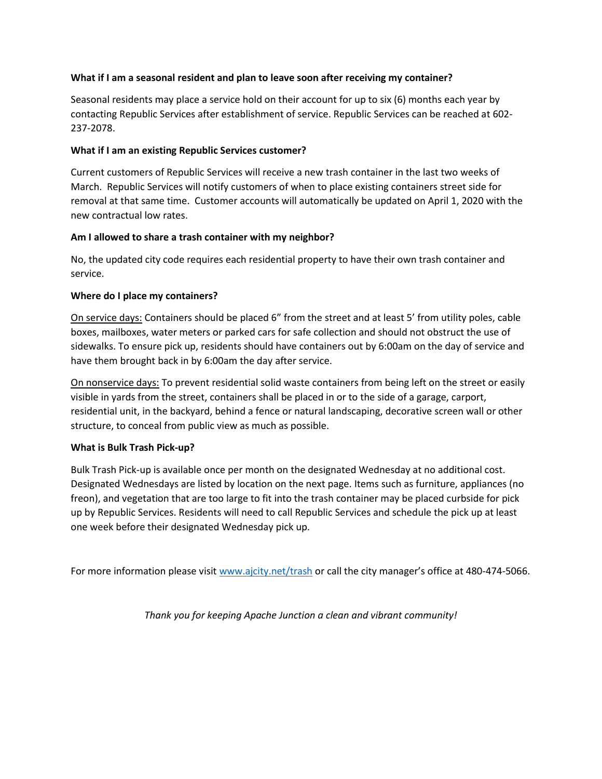### **What if I am a seasonal resident and plan to leave soon after receiving my container?**

Seasonal residents may place a service hold on their account for up to six (6) months each year by contacting Republic Services after establishment of service. Republic Services can be reached at 602- 237-2078.

## **What if I am an existing Republic Services customer?**

Current customers of Republic Services will receive a new trash container in the last two weeks of March. Republic Services will notify customers of when to place existing containers street side for removal at that same time. Customer accounts will automatically be updated on April 1, 2020 with the new contractual low rates.

## **Am I allowed to share a trash container with my neighbor?**

No, the updated city code requires each residential property to have their own trash container and service.

## **Where do I place my containers?**

On service days: Containers should be placed 6" from the street and at least 5' from utility poles, cable boxes, mailboxes, water meters or parked cars for safe collection and should not obstruct the use of sidewalks. To ensure pick up, residents should have containers out by 6:00am on the day of service and have them brought back in by 6:00am the day after service.

On nonservice days: To prevent residential solid waste containers from being left on the street or easily visible in yards from the street, containers shall be placed in or to the side of a garage, carport, residential unit, in the backyard, behind a fence or natural landscaping, decorative screen wall or other structure, to conceal from public view as much as possible.

# **What is Bulk Trash Pick-up?**

Bulk Trash Pick-up is available once per month on the designated Wednesday at no additional cost. Designated Wednesdays are listed by location on the next page. Items such as furniture, appliances (no freon), and vegetation that are too large to fit into the trash container may be placed curbside for pick up by Republic Services. Residents will need to call Republic Services and schedule the pick up at least one week before their designated Wednesday pick up.

For more information please visit [www.ajcity.net/trash](http://www.ajcity.net/trash) or call the city manager's office at 480-474-5066.

*Thank you for keeping Apache Junction a clean and vibrant community!*